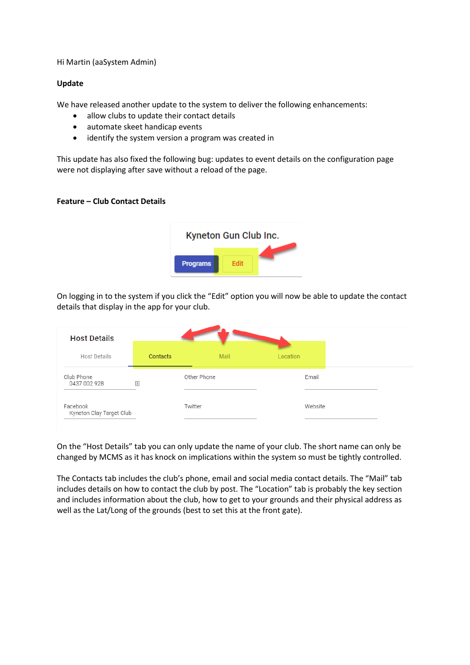## Hi Martin (aaSystem Admin)

## **Update**

We have released another update to the system to deliver the following enhancements:

- allow clubs to update their contact details
- automate skeet handicap events
- identify the system version a program was created in

This update has also fixed the following bug: updates to event details on the configuration page were not displaying after save without a reload of the page.

## **Feature – Club Contact Details**



On logging in to the system if you click the "Edit" option you will now be able to update the contact details that display in the app for your club.

| <b>Host Details</b>                  |              |             |      |          |         |  |
|--------------------------------------|--------------|-------------|------|----------|---------|--|
| <b>Host Details</b>                  |              | Contacts    | Mail | Location |         |  |
| Club Phone<br>0437 002 928           | $\triangleq$ | Other Phone |      |          | Email   |  |
| Facebook<br>Kyneton Clay Target Club |              | Twitter     |      |          | Website |  |

On the "Host Details" tab you can only update the name of your club. The short name can only be changed by MCMS as it has knock on implications within the system so must be tightly controlled.

The Contacts tab includes the club's phone, email and social media contact details. The "Mail" tab includes details on how to contact the club by post. The "Location" tab is probably the key section and includes information about the club, how to get to your grounds and their physical address as well as the Lat/Long of the grounds (best to set this at the front gate).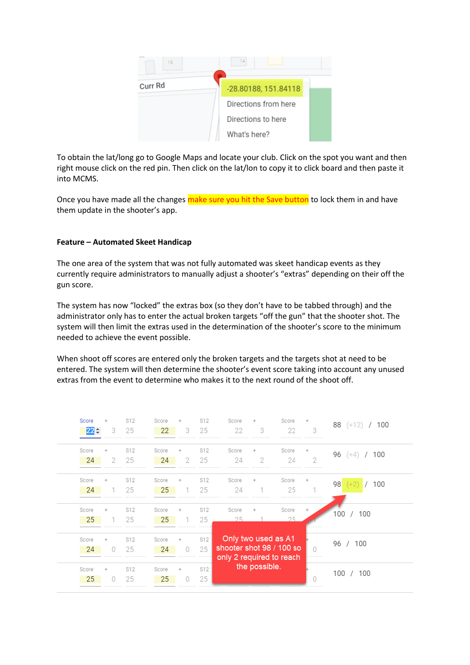

To obtain the lat/long go to Google Maps and locate your club. Click on the spot you want and then right mouse click on the red pin. Then click on the lat/lon to copy it to click board and then paste it into MCMS.

Once you have made all the changes make sure you hit the Save button to lock them in and have them update in the shooter's app.

# **Feature – Automated Skeet Handicap**

The one area of the system that was not fully automated was skeet handicap events as they currently require administrators to manually adjust a shooter's "extras" depending on their off the gun score.

The system has now "locked" the extras box (so they don't have to be tabbed through) and the administrator only has to enter the actual broken targets "off the gun" that the shooter shot. The system will then limit the extras used in the determination of the shooter's score to the minimum needed to achieve the event possible.

When shoot off scores are entered only the broken targets and the targets shot at need to be entered. The system will then determine the shooter's event score taking into account any unused extras from the event to determine who makes it to the next round of the shoot off.

| Score       | 3      | S12<br>25 | Score<br>22 | 3      | S12<br>25<br>. | Score<br>22<br>.                                                                             | 3<br>. | Score<br>22      | 3      |           | 88 (+12) / 100 |
|-------------|--------|-----------|-------------|--------|----------------|----------------------------------------------------------------------------------------------|--------|------------------|--------|-----------|----------------|
| Score<br>24 | ÷<br>2 | S12<br>25 | Score<br>24 | 2      | S12<br>25      | Score<br>24                                                                                  | 2      | Score<br>24<br>. | 2<br>. | $96 (+4)$ | 100            |
| Score<br>24 | ÷<br>. | S12<br>25 | Score<br>25 |        | S12<br>25      | Score<br>24<br>.                                                                             | .      | Score<br>25<br>. | .      | 98        | 100            |
| Score<br>25 |        | S12<br>25 | Score<br>25 |        | S12<br>25      | Score<br>25                                                                                  |        | Score<br>25      | .      | 100       | 100            |
| Score<br>24 | ÷<br>Ω | S12<br>25 | Score<br>24 | $\cup$ | S12<br>25      | Only two used as A1<br>shooter shot 98 / 100 so<br>only 2 required to reach<br>the possible. |        |                  |        | 96 / 100  |                |
| Score<br>25 |        | S12<br>25 | Score<br>25 | 0      | S12<br>25      |                                                                                              |        |                  |        | 100 /     | 100            |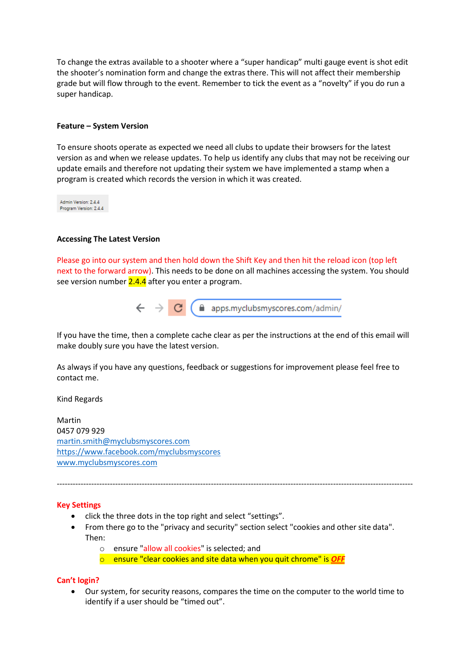To change the extras available to a shooter where a "super handicap" multi gauge event is shot edit the shooter's nomination form and change the extras there. This will not affect their membership grade but will flow through to the event. Remember to tick the event as a "novelty" if you do run a super handicap.

### **Feature – System Version**

To ensure shoots operate as expected we need all clubs to update their browsers for the latest version as and when we release updates. To help us identify any clubs that may not be receiving our update emails and therefore not updating their system we have implemented a stamp when a program is created which records the version in which it was created.

Admin Version: 2.4.4 Program Version: 2.4.4

### **Accessing The Latest Version**

Please go into our system and then hold down the Shift Key and then hit the reload icon (top left next to the forward arrow). This needs to be done on all machines accessing the system. You should see version number 2.4.4 after you enter a program.

 $\leftarrow$   $\rightarrow$   $\mathbf{C}$  (  $\triangle$  apps.myclubsmyscores.com/admin/

If you have the time, then a complete cache clear as per the instructions at the end of this email will make doubly sure you have the latest version.

As always if you have any questions, feedback or suggestions for improvement please feel free to contact me.

Kind Regards

Martin 0457 079 929 [martin.smith@myclubsmyscores.com](mailto:martin.smith@myclubsmyscores.com) <https://www.facebook.com/myclubsmyscores> [www.myclubsmyscores.com](http://www.myclubsmyscores.com/)

#### **Key Settings**

- click the three dots in the top right and select "settings".
- From there go to the "privacy and security" section select "cookies and other site data". Then:

--------------------------------------------------------------------------------------------------------------------------------------

- o ensure "allow all cookies" is selected; and
- o ensure "clear cookies and site data when you quit chrome" is *OFF*

#### **Can't login?**

• Our system, for security reasons, compares the time on the computer to the world time to identify if a user should be "timed out".